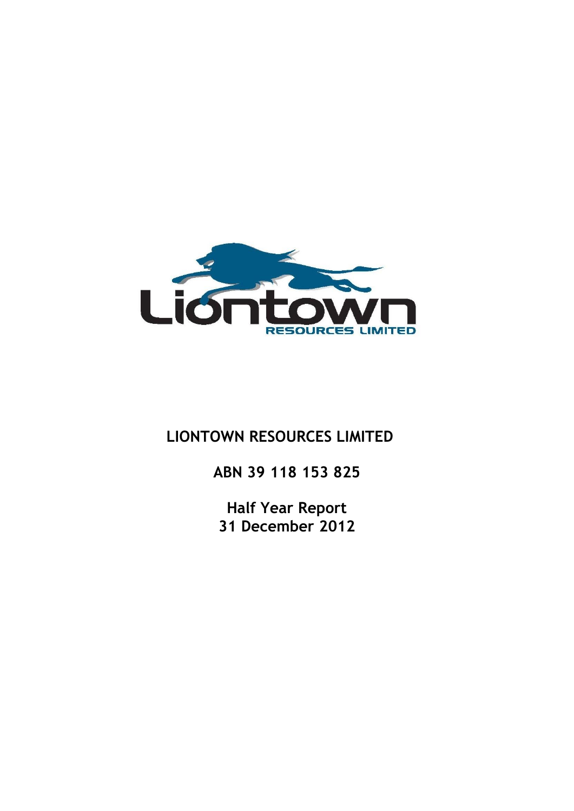

# **LIONTOWN RESOURCES LIMITED**

**ABN 39 118 153 825**

**Half Year Report 31 December 2012**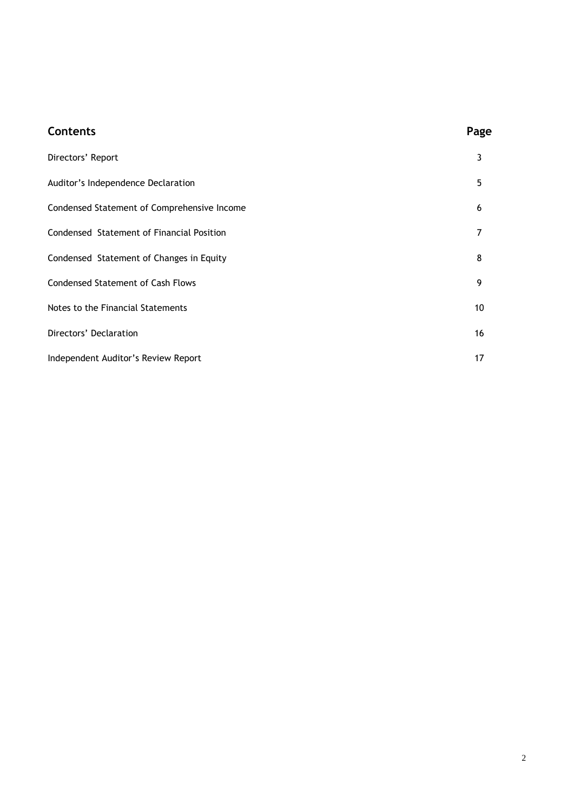| <b>Contents</b>                             | Page |
|---------------------------------------------|------|
| Directors' Report                           | 3    |
| Auditor's Independence Declaration          | 5    |
| Condensed Statement of Comprehensive Income | 6    |
| Condensed Statement of Financial Position   | 7    |
| Condensed Statement of Changes in Equity    | 8    |
| <b>Condensed Statement of Cash Flows</b>    | 9    |
| Notes to the Financial Statements           | 10   |
| Directors' Declaration                      | 16   |
| Independent Auditor's Review Report         | 17   |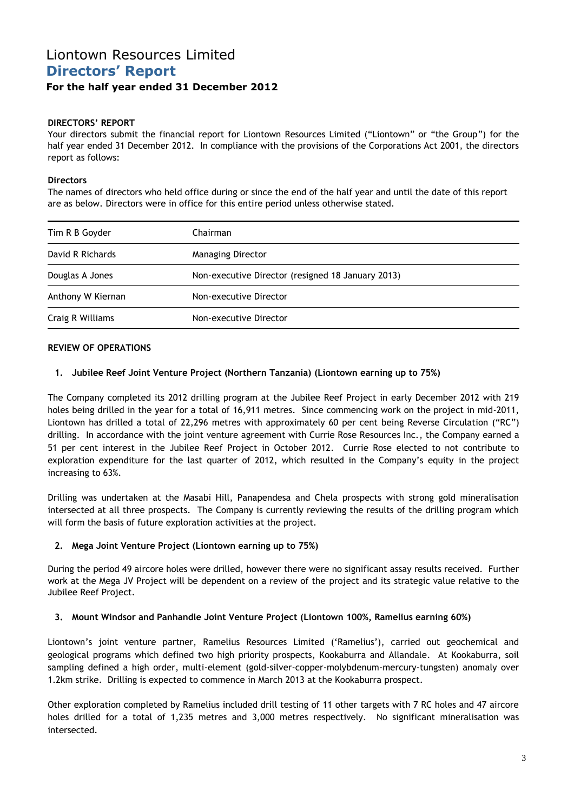## Liontown Resources Limited **Directors' Report For the half year ended 31 December 2012**

### **DIRECTORS' REPORT**

Your directors submit the financial report for Liontown Resources Limited ("Liontown" or "the Group") for the half year ended 31 December 2012. In compliance with the provisions of the Corporations Act 2001, the directors report as follows:

### **Directors**

The names of directors who held office during or since the end of the half year and until the date of this report are as below. Directors were in office for this entire period unless otherwise stated.

| Tim R B Goyder    | Chairman                                          |  |
|-------------------|---------------------------------------------------|--|
| David R Richards  | <b>Managing Director</b>                          |  |
| Douglas A Jones   | Non-executive Director (resigned 18 January 2013) |  |
| Anthony W Kiernan | Non-executive Director                            |  |
| Craig R Williams  | Non-executive Director                            |  |

### **REVIEW OF OPERATIONS**

### **1. Jubilee Reef Joint Venture Project (Northern Tanzania) (Liontown earning up to 75%)**

The Company completed its 2012 drilling program at the Jubilee Reef Project in early December 2012 with 219 holes being drilled in the year for a total of 16,911 metres. Since commencing work on the project in mid-2011, Liontown has drilled a total of 22,296 metres with approximately 60 per cent being Reverse Circulation ("RC") drilling. In accordance with the joint venture agreement with Currie Rose Resources Inc., the Company earned a 51 per cent interest in the Jubilee Reef Project in October 2012. Currie Rose elected to not contribute to exploration expenditure for the last quarter of 2012, which resulted in the Company's equity in the project increasing to 63%.

Drilling was undertaken at the Masabi Hill, Panapendesa and Chela prospects with strong gold mineralisation intersected at all three prospects. The Company is currently reviewing the results of the drilling program which will form the basis of future exploration activities at the project.

### **2. Mega Joint Venture Project (Liontown earning up to 75%)**

During the period 49 aircore holes were drilled, however there were no significant assay results received. Further work at the Mega JV Project will be dependent on a review of the project and its strategic value relative to the Jubilee Reef Project.

### **3. Mount Windsor and Panhandle Joint Venture Project (Liontown 100%, Ramelius earning 60%)**

Liontown's joint venture partner, Ramelius Resources Limited ('Ramelius'), carried out geochemical and geological programs which defined two high priority prospects, Kookaburra and Allandale. At Kookaburra, soil sampling defined a high order, multi-element (gold-silver-copper-molybdenum-mercury-tungsten) anomaly over 1.2km strike. Drilling is expected to commence in March 2013 at the Kookaburra prospect.

Other exploration completed by Ramelius included drill testing of 11 other targets with 7 RC holes and 47 aircore holes drilled for a total of 1,235 metres and 3,000 metres respectively. No significant mineralisation was intersected.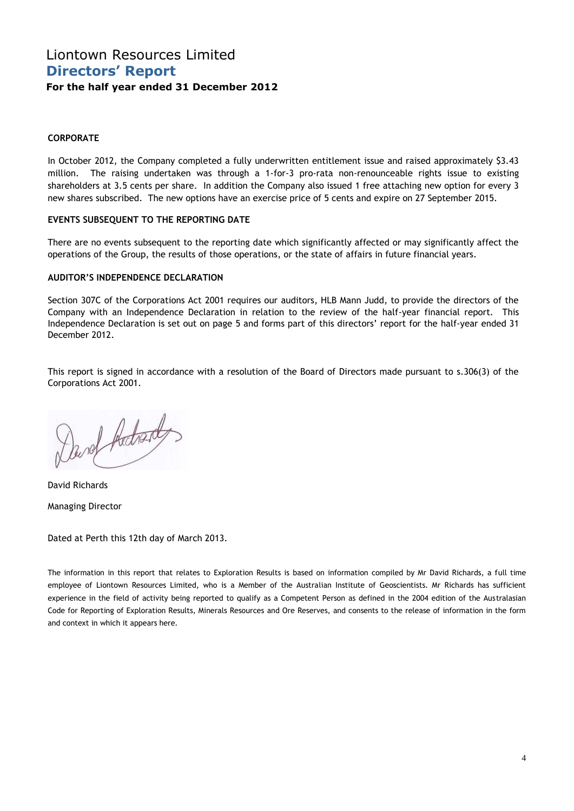## Liontown Resources Limited **Directors' Report For the half year ended 31 December 2012**

### **CORPORATE**

In October 2012, the Company completed a fully underwritten entitlement issue and raised approximately \$3.43 million. The raising undertaken was through a 1-for-3 pro-rata non-renounceable rights issue to existing shareholders at 3.5 cents per share. In addition the Company also issued 1 free attaching new option for every 3 new shares subscribed. The new options have an exercise price of 5 cents and expire on 27 September 2015.

### **EVENTS SUBSEQUENT TO THE REPORTING DATE**

There are no events subsequent to the reporting date which significantly affected or may significantly affect the operations of the Group, the results of those operations, or the state of affairs in future financial years.

### **AUDITOR'S INDEPENDENCE DECLARATION**

Section 307C of the Corporations Act 2001 requires our auditors, HLB Mann Judd, to provide the directors of the Company with an Independence Declaration in relation to the review of the half-year financial report. This Independence Declaration is set out on page 5 and forms part of this directors' report for the half-year ended 31 December 2012.

This report is signed in accordance with a resolution of the Board of Directors made pursuant to s.306(3) of the Corporations Act 2001.

Darof Adrad

David Richards Managing Director

Dated at Perth this 12th day of March 2013.

The information in this report that relates to Exploration Results is based on information compiled by Mr David Richards, a full time employee of Liontown Resources Limited, who is a Member of the Australian Institute of Geoscientists. Mr Richards has sufficient experience in the field of activity being reported to qualify as a Competent Person as defined in the 2004 edition of the Australasian Code for Reporting of Exploration Results, Minerals Resources and Ore Reserves, and consents to the release of information in the form and context in which it appears here.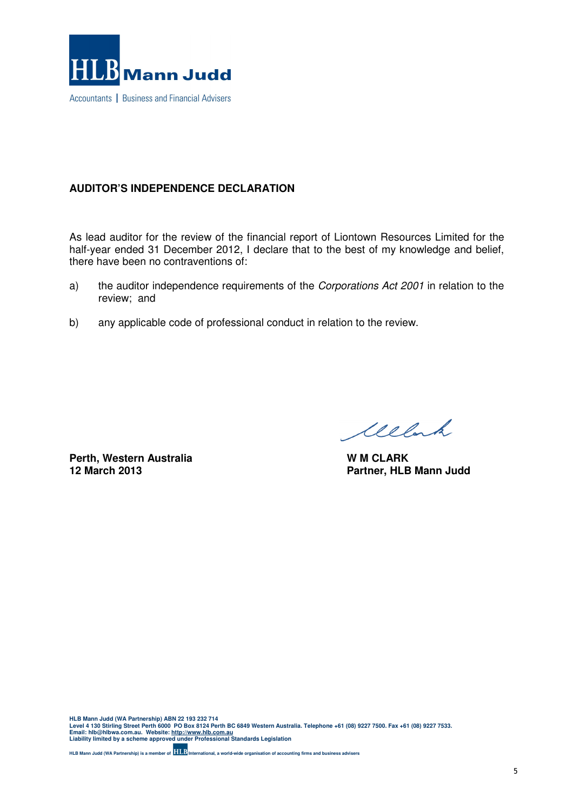

### **AUDITOR'S INDEPENDENCE DECLARATION**

As lead auditor for the review of the financial report of Liontown Resources Limited for the half-year ended 31 December 2012, I declare that to the best of my knowledge and belief, there have been no contraventions of:

- a) the auditor independence requirements of the Corporations Act 2001 in relation to the review; and
- b) any applicable code of professional conduct in relation to the review.

**Perth, Western Australia** W M CLARK **W M CLARK** 12 March 2013

Welch

**Partner, HLB Mann Judd** 

HLB Mann Judd (WA Partnership) ABN 22 193 232 714<br>Level 4 130 Stirling Street Perth 6000 PO Box 8124 Perth BC 6849 Western Australia. Telephone +61 (08) 9227 7500. Fax +61 (08) 9227 7533.<br>Email: hIb@hIbwa.com.au. Website

**HLB Mann Judd (WA Partnership) is a member of International, a world-wide organisation of accounting firms and business advisers**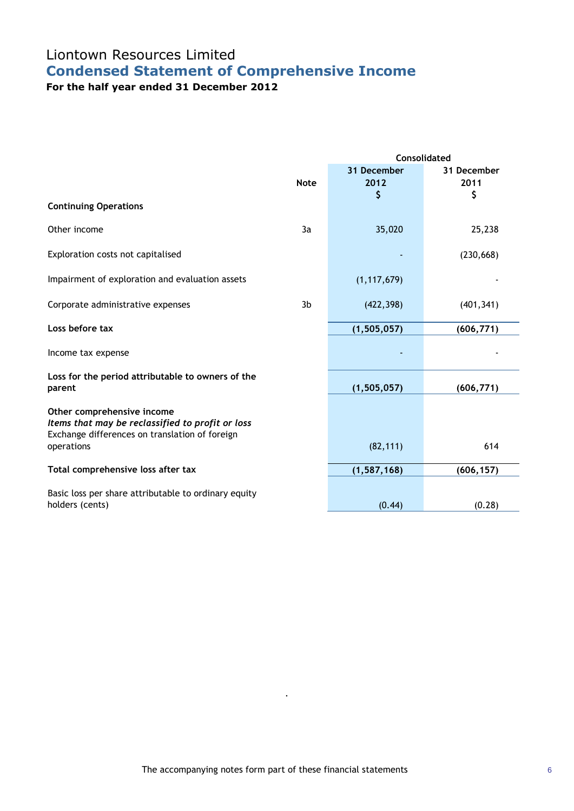# Liontown Resources Limited **Condensed Statement of Comprehensive Income**

**For the half year ended 31 December 2012**

|                                                                                                                                  |             | <b>Consolidated</b>       |                           |  |  |
|----------------------------------------------------------------------------------------------------------------------------------|-------------|---------------------------|---------------------------|--|--|
|                                                                                                                                  | <b>Note</b> | 31 December<br>2012<br>\$ | 31 December<br>2011<br>\$ |  |  |
| <b>Continuing Operations</b>                                                                                                     |             |                           |                           |  |  |
| Other income                                                                                                                     | 3a          | 35,020                    | 25,238                    |  |  |
| Exploration costs not capitalised                                                                                                |             |                           | (230, 668)                |  |  |
| Impairment of exploration and evaluation assets                                                                                  |             | (1, 117, 679)             |                           |  |  |
| Corporate administrative expenses                                                                                                | 3b          | (422, 398)                | (401, 341)                |  |  |
| Loss before tax                                                                                                                  |             | (1, 505, 057)             | (606, 771)                |  |  |
| Income tax expense                                                                                                               |             |                           |                           |  |  |
| Loss for the period attributable to owners of the<br>parent                                                                      |             | (1, 505, 057)             | (606, 771)                |  |  |
| Other comprehensive income<br>Items that may be reclassified to profit or loss<br>Exchange differences on translation of foreign |             |                           |                           |  |  |
| operations                                                                                                                       |             | (82, 111)                 | 614                       |  |  |
| Total comprehensive loss after tax                                                                                               |             | (1, 587, 168)             | (606, 157)                |  |  |
| Basic loss per share attributable to ordinary equity                                                                             |             |                           |                           |  |  |
| holders (cents)                                                                                                                  |             | (0.44)                    | (0.28)                    |  |  |

.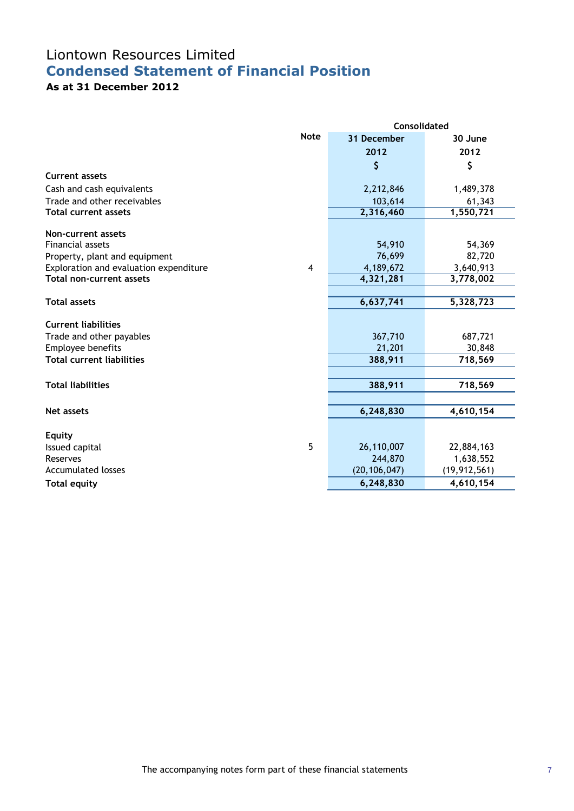# Liontown Resources Limited **Condensed Statement of Financial Position**

## **As at 31 December 2012**

|                                        |                | <b>Consolidated</b>   |                         |  |  |
|----------------------------------------|----------------|-----------------------|-------------------------|--|--|
|                                        | <b>Note</b>    | 31 December           | 30 June                 |  |  |
|                                        |                | 2012                  | 2012                    |  |  |
|                                        |                | \$                    | \$                      |  |  |
| <b>Current assets</b>                  |                |                       |                         |  |  |
| Cash and cash equivalents              |                | 2,212,846             | 1,489,378               |  |  |
| Trade and other receivables            |                | 103,614               | 61,343                  |  |  |
| <b>Total current assets</b>            |                | 2,316,460             | 1,550,721               |  |  |
| Non-current assets                     |                |                       |                         |  |  |
| <b>Financial assets</b>                |                | 54,910                | 54,369                  |  |  |
| Property, plant and equipment          |                | 76,699                | 82,720                  |  |  |
| Exploration and evaluation expenditure | $\overline{4}$ | 4,189,672             | 3,640,913               |  |  |
| <b>Total non-current assets</b>        |                | 4,321,281             | 3,778,002               |  |  |
|                                        |                |                       |                         |  |  |
| <b>Total assets</b>                    |                | 6,637,741             | 5,328,723               |  |  |
| <b>Current liabilities</b>             |                |                       |                         |  |  |
| Trade and other payables               |                | 367,710               | 687,721                 |  |  |
| Employee benefits                      |                | 21,201                | 30,848                  |  |  |
| <b>Total current liabilities</b>       |                | 388,911               | 718,569                 |  |  |
|                                        |                |                       |                         |  |  |
| <b>Total liabilities</b>               |                | 388,911               | 718,569                 |  |  |
|                                        |                |                       |                         |  |  |
| <b>Net assets</b>                      |                | 6,248,830             | 4,610,154               |  |  |
|                                        |                |                       |                         |  |  |
| <b>Equity</b>                          | 5              |                       |                         |  |  |
| Issued capital<br>Reserves             |                | 26,110,007<br>244,870 | 22,884,163<br>1,638,552 |  |  |
| <b>Accumulated losses</b>              |                | (20, 106, 047)        | (19, 912, 561)          |  |  |
|                                        |                | 6,248,830             | 4,610,154               |  |  |
| <b>Total equity</b>                    |                |                       |                         |  |  |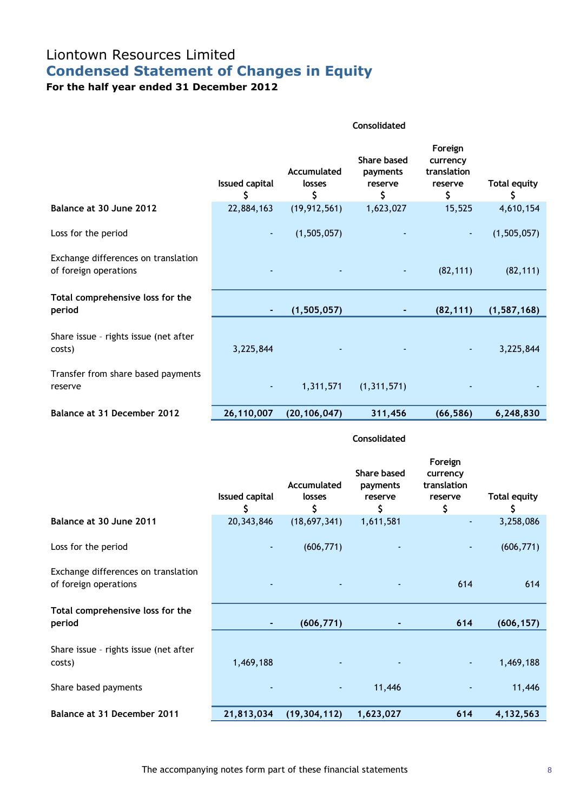# Liontown Resources Limited **Condensed Statement of Changes in Equity**

**For the half year ended 31 December 2012**

|                                                              | <b>Consolidated</b>         |                             |                                                 |                                                     |                           |
|--------------------------------------------------------------|-----------------------------|-----------------------------|-------------------------------------------------|-----------------------------------------------------|---------------------------|
|                                                              | <b>Issued capital</b><br>\$ | Accumulated<br>losses<br>\$ | <b>Share based</b><br>payments<br>reserve<br>\$ | Foreign<br>currency<br>translation<br>reserve<br>\$ | <b>Total equity</b><br>\$ |
| Balance at 30 June 2012                                      | 22,884,163                  | (19, 912, 561)              | 1,623,027                                       | 15,525                                              | 4,610,154                 |
| Loss for the period                                          |                             | (1,505,057)                 |                                                 |                                                     | (1,505,057)               |
| Exchange differences on translation<br>of foreign operations |                             |                             |                                                 | (82, 111)                                           | (82, 111)                 |
| Total comprehensive loss for the<br>period                   |                             | (1, 505, 057)               |                                                 | (82, 111)                                           | (1, 587, 168)             |
| Share issue - rights issue (net after<br>costs)              | 3,225,844                   |                             |                                                 |                                                     | 3,225,844                 |
| Transfer from share based payments<br>reserve                |                             | 1,311,571                   | (1, 311, 571)                                   |                                                     |                           |
| Balance at 31 December 2012                                  | 26,110,007                  | (20, 106, 047)              | 311,456                                         | (66, 586)                                           | 6,248,830                 |

### **Consolidated**

|                                                              | <b>Issued capital</b><br>S | Accumulated<br>losses<br>\$ | <b>Share based</b><br>payments<br>reserve<br>\$ | Foreign<br>currency<br>translation<br>reserve<br>\$ | <b>Total equity</b><br>\$ |
|--------------------------------------------------------------|----------------------------|-----------------------------|-------------------------------------------------|-----------------------------------------------------|---------------------------|
| Balance at 30 June 2011                                      | 20, 343, 846               | (18,697,341)                | 1,611,581                                       | ٠                                                   | 3,258,086                 |
| Loss for the period                                          | $\blacksquare$             | (606, 771)                  |                                                 | ٠                                                   | (606, 771)                |
| Exchange differences on translation<br>of foreign operations |                            |                             |                                                 | 614                                                 | 614                       |
| Total comprehensive loss for the<br>period                   |                            | (606, 771)                  |                                                 | 614                                                 | (606, 157)                |
| Share issue - rights issue (net after<br>costs)              | 1,469,188                  |                             |                                                 | ٠                                                   | 1,469,188                 |
| Share based payments                                         |                            |                             | 11,446                                          |                                                     | 11,446                    |
| Balance at 31 December 2011                                  | 21,813,034                 | (19, 304, 112)              | 1,623,027                                       | 614                                                 | 4,132,563                 |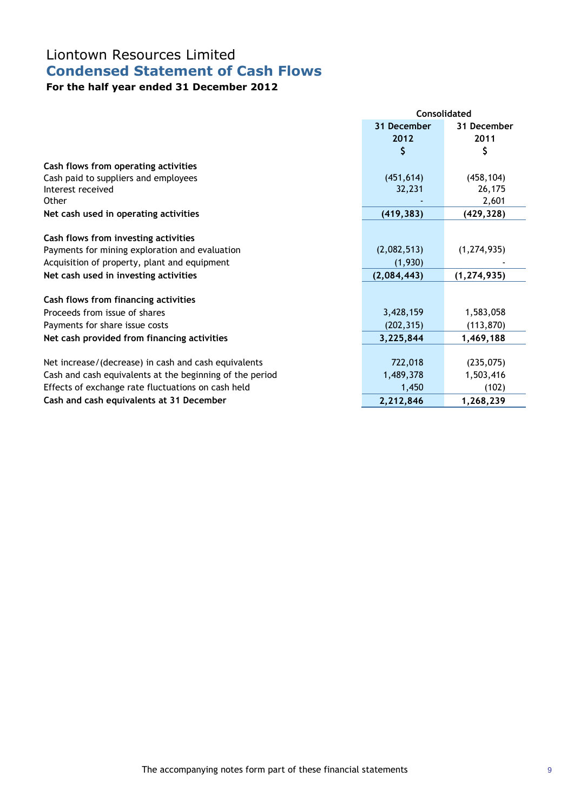# Liontown Resources Limited **Condensed Statement of Cash Flows**

## **For the half year ended 31 December 2012**

|                                                          |             | <b>Consolidated</b> |
|----------------------------------------------------------|-------------|---------------------|
|                                                          | 31 December | 31 December         |
|                                                          | 2012        | 2011                |
|                                                          | \$          | \$                  |
| Cash flows from operating activities                     |             |                     |
| Cash paid to suppliers and employees                     | (451, 614)  | (458, 104)          |
| Interest received                                        | 32,231      | 26,175              |
| Other                                                    |             | 2,601               |
| Net cash used in operating activities                    | (419, 383)  | (429, 328)          |
|                                                          |             |                     |
| Cash flows from investing activities                     |             |                     |
| Payments for mining exploration and evaluation           | (2,082,513) | (1, 274, 935)       |
| Acquisition of property, plant and equipment             | (1,930)     |                     |
| Net cash used in investing activities                    | (2,084,443) | (1, 274, 935)       |
| Cash flows from financing activities                     |             |                     |
| Proceeds from issue of shares                            | 3,428,159   | 1,583,058           |
| Payments for share issue costs                           | (202, 315)  | (113, 870)          |
| Net cash provided from financing activities              | 3,225,844   | 1,469,188           |
|                                                          |             |                     |
| Net increase/(decrease) in cash and cash equivalents     | 722,018     | (235,075)           |
| Cash and cash equivalents at the beginning of the period | 1,489,378   | 1,503,416           |
| Effects of exchange rate fluctuations on cash held       | 1,450       | (102)               |
| Cash and cash equivalents at 31 December                 | 2,212,846   | 1,268,239           |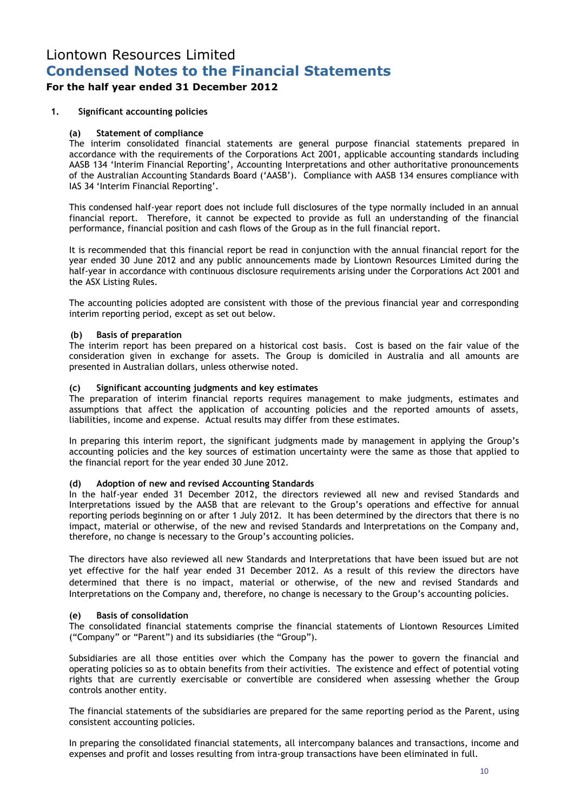### **For the half year ended 31 December 2012**

### **1. Significant accounting policies**

### **(a) Statement of compliance**

The interim consolidated financial statements are general purpose financial statements prepared in accordance with the requirements of the Corporations Act 2001, applicable accounting standards including AASB 134 'Interim Financial Reporting', Accounting Interpretations and other authoritative pronouncements of the Australian Accounting Standards Board ('AASB'). Compliance with AASB 134 ensures compliance with IAS 34 'Interim Financial Reporting'.

This condensed half-year report does not include full disclosures of the type normally included in an annual financial report. Therefore, it cannot be expected to provide as full an understanding of the financial performance, financial position and cash flows of the Group as in the full financial report.

It is recommended that this financial report be read in conjunction with the annual financial report for the year ended 30 June 2012 and any public announcements made by Liontown Resources Limited during the half-year in accordance with continuous disclosure requirements arising under the Corporations Act 2001 and the ASX Listing Rules.

The accounting policies adopted are consistent with those of the previous financial year and corresponding interim reporting period, except as set out below.

#### **(b) Basis of preparation**

The interim report has been prepared on a historical cost basis. Cost is based on the fair value of the consideration given in exchange for assets. The Group is domiciled in Australia and all amounts are presented in Australian dollars, unless otherwise noted.

### **(c) Significant accounting judgments and key estimates**

The preparation of interim financial reports requires management to make judgments, estimates and assumptions that affect the application of accounting policies and the reported amounts of assets, liabilities, income and expense. Actual results may differ from these estimates.

In preparing this interim report, the significant judgments made by management in applying the Group's accounting policies and the key sources of estimation uncertainty were the same as those that applied to the financial report for the year ended 30 June 2012.

### **(d) Adoption of new and revised Accounting Standards**

In the half-year ended 31 December 2012, the directors reviewed all new and revised Standards and Interpretations issued by the AASB that are relevant to the Group's operations and effective for annual reporting periods beginning on or after 1 July 2012. It has been determined by the directors that there is no impact, material or otherwise, of the new and revised Standards and Interpretations on the Company and, therefore, no change is necessary to the Group's accounting policies.

The directors have also reviewed all new Standards and Interpretations that have been issued but are not yet effective for the half year ended 31 December 2012. As a result of this review the directors have determined that there is no impact, material or otherwise, of the new and revised Standards and Interpretations on the Company and, therefore, no change is necessary to the Group's accounting policies.

### **(e) Basis of consolidation**

The consolidated financial statements comprise the financial statements of Liontown Resources Limited ("Company" or "Parent") and its subsidiaries (the "Group").

Subsidiaries are all those entities over which the Company has the power to govern the financial and operating policies so as to obtain benefits from their activities. The existence and effect of potential voting rights that are currently exercisable or convertible are considered when assessing whether the Group controls another entity.

The financial statements of the subsidiaries are prepared for the same reporting period as the Parent, using consistent accounting policies.

In preparing the consolidated financial statements, all intercompany balances and transactions, income and expenses and profit and losses resulting from intra-group transactions have been eliminated in full.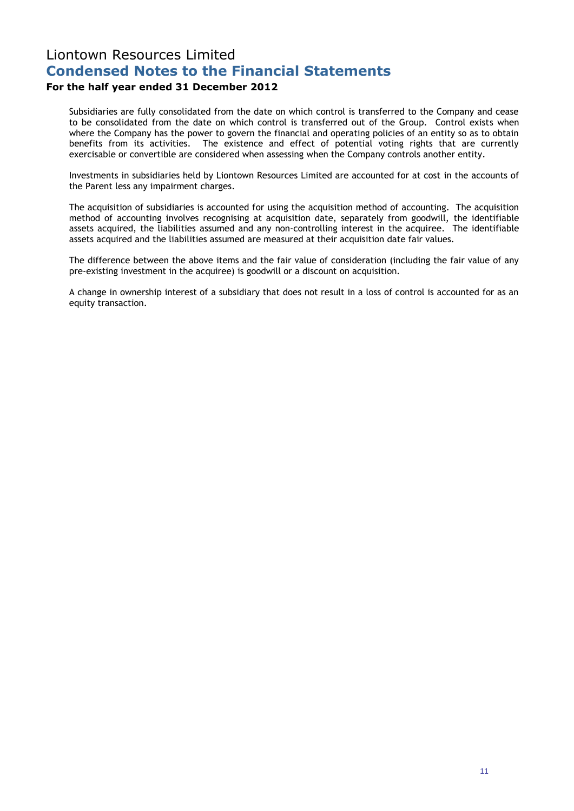### **For the half year ended 31 December 2012**

Subsidiaries are fully consolidated from the date on which control is transferred to the Company and cease to be consolidated from the date on which control is transferred out of the Group. Control exists when where the Company has the power to govern the financial and operating policies of an entity so as to obtain benefits from its activities. The existence and effect of potential voting rights that are currently exercisable or convertible are considered when assessing when the Company controls another entity.

Investments in subsidiaries held by Liontown Resources Limited are accounted for at cost in the accounts of the Parent less any impairment charges.

The acquisition of subsidiaries is accounted for using the acquisition method of accounting. The acquisition method of accounting involves recognising at acquisition date, separately from goodwill, the identifiable assets acquired, the liabilities assumed and any non-controlling interest in the acquiree. The identifiable assets acquired and the liabilities assumed are measured at their acquisition date fair values.

The difference between the above items and the fair value of consideration (including the fair value of any pre-existing investment in the acquiree) is goodwill or a discount on acquisition.

A change in ownership interest of a subsidiary that does not result in a loss of control is accounted for as an equity transaction.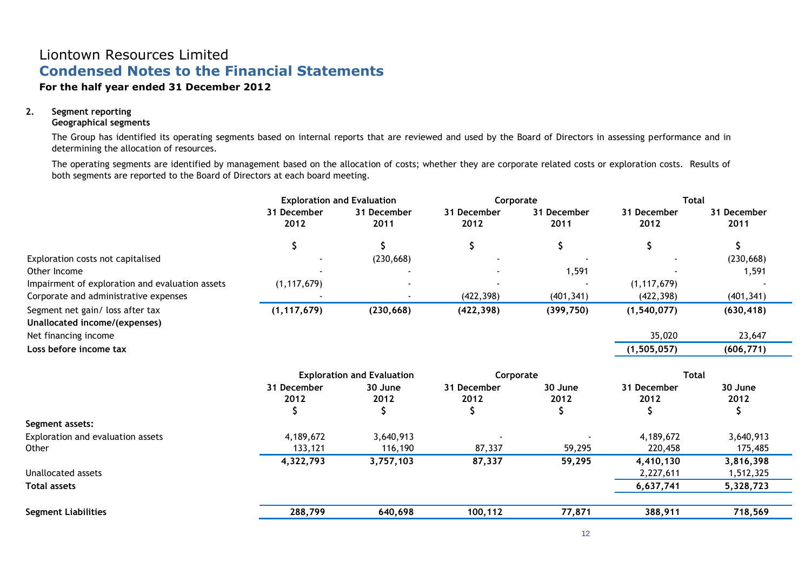### **For the half year ended 31 December 2012**

### **2. Segment reporting**

### **Geographical segments**

The Group has identified its operating segments based on internal reports that are reviewed and used by the Board of Directors in assessing performance and in determining the allocation of resources.

The operating segments are identified by management based on the allocation of costs; whether they are corporate related costs or exploration costs. Results of both segments are reported to the Board of Directors at each board meeting.

| <b>Exploration and Evaluation</b> |                     |                                                     | Corporate           |                     | <b>Total</b>              |  |
|-----------------------------------|---------------------|-----------------------------------------------------|---------------------|---------------------|---------------------------|--|
| 31 December<br>2012               | 31 December<br>2011 | 31 December<br>2012                                 | 31 December<br>2011 | 31 December<br>2012 | 31 December<br>2011       |  |
| Ş                                 |                     | \$                                                  | \$                  | \$                  | \$                        |  |
|                                   | (230, 668)          |                                                     |                     |                     | (230, 668)                |  |
|                                   |                     |                                                     | 1,591               |                     | 1,591                     |  |
| (1, 117, 679)                     |                     |                                                     |                     | (1, 117, 679)       |                           |  |
|                                   |                     | (422, 398)                                          | (401, 341)          | (422, 398)          | (401, 341)                |  |
| (1, 117, 679)                     | (230, 668)          | (422, 398)                                          | (399, 750)          | (1, 540, 077)       | (630, 418)                |  |
|                                   |                     |                                                     |                     |                     |                           |  |
|                                   |                     |                                                     |                     | 35,020              | 23,647                    |  |
|                                   |                     |                                                     |                     | (1, 505, 057)       | (606, 771)                |  |
|                                   |                     |                                                     |                     |                     |                           |  |
| 31 December<br>2012               | 30 June<br>2012     | 31 December<br>2012                                 | 30 June<br>2012     | 31 December<br>2012 | 30 June<br>2012           |  |
|                                   |                     |                                                     |                     |                     |                           |  |
|                                   |                     |                                                     |                     |                     | 3,640,913                 |  |
| 133,121                           | 116,190             | 87,337                                              | 59,295              | 220,458             | 175,485                   |  |
| 4,322,793                         | 3,757,103           | 87,337                                              | 59,295              | 4,410,130           | 3,816,398                 |  |
|                                   |                     |                                                     |                     | 2,227,611           | 1,512,325                 |  |
|                                   |                     |                                                     |                     | 6,637,741           | 5,328,723                 |  |
| 288,799                           | 640,698             | 100,112                                             | 77,871              | 388,911             | 718,569                   |  |
|                                   | Č<br>4,189,672      | <b>Exploration and Evaluation</b><br>J<br>3,640,913 |                     | Corporate<br>S      | <b>Total</b><br>4,189,672 |  |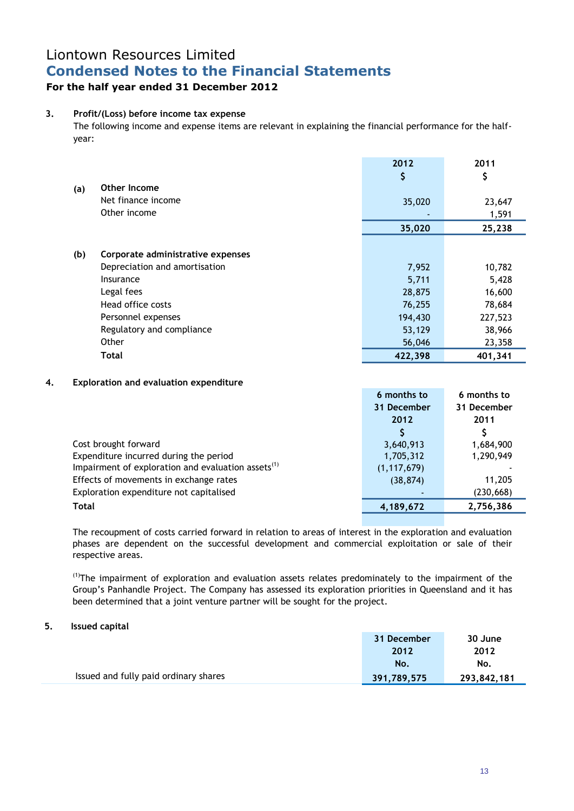## **For the half year ended 31 December 2012**

### **3. Profit/(Loss) before income tax expense**

The following income and expense items are relevant in explaining the financial performance for the halfyear:

|     |                                   | 2012<br>\$ | 2011<br>\$ |
|-----|-----------------------------------|------------|------------|
| (a) | Other Income                      |            |            |
|     | Net finance income                | 35,020     | 23,647     |
|     | Other income                      |            | 1,591      |
|     |                                   | 35,020     | 25,238     |
|     |                                   |            |            |
| (b) | Corporate administrative expenses |            |            |
|     | Depreciation and amortisation     | 7,952      | 10,782     |
|     | Insurance                         | 5,711      | 5,428      |
|     | Legal fees                        | 28,875     | 16,600     |
|     | Head office costs                 | 76,255     | 78,684     |
|     | Personnel expenses                | 194,430    | 227,523    |
|     | Regulatory and compliance         | 53,129     | 38,966     |
|     | Other                             | 56,046     | 23,358     |
|     | <b>Total</b>                      | 422,398    | 401,341    |

### **4. Exploration and evaluation expenditure**

|                                                                | 6 months to   | 6 months to |
|----------------------------------------------------------------|---------------|-------------|
|                                                                | 31 December   | 31 December |
|                                                                | 2012          | 2011        |
|                                                                |               |             |
| Cost brought forward                                           | 3,640,913     | 1,684,900   |
| Expenditure incurred during the period                         | 1,705,312     | 1,290,949   |
| Impairment of exploration and evaluation assets <sup>(1)</sup> | (1, 117, 679) |             |
| Effects of movements in exchange rates                         | (38, 874)     | 11,205      |
| Exploration expenditure not capitalised                        |               | (230, 668)  |
| Total                                                          | 4,189,672     | 2,756,386   |
|                                                                |               |             |

The recoupment of costs carried forward in relation to areas of interest in the exploration and evaluation phases are dependent on the successful development and commercial exploitation or sale of their respective areas.

<sup>(1)</sup>The impairment of exploration and evaluation assets relates predominately to the impairment of the Group's Panhandle Project. The Company has assessed its exploration priorities in Queensland and it has been determined that a joint venture partner will be sought for the project.

### **5. Issued capital**

|                                       | 31 December | 30 June     |
|---------------------------------------|-------------|-------------|
|                                       | 2012        | 2012        |
|                                       | No.         | No.         |
| Issued and fully paid ordinary shares | 391,789,575 | 293,842,181 |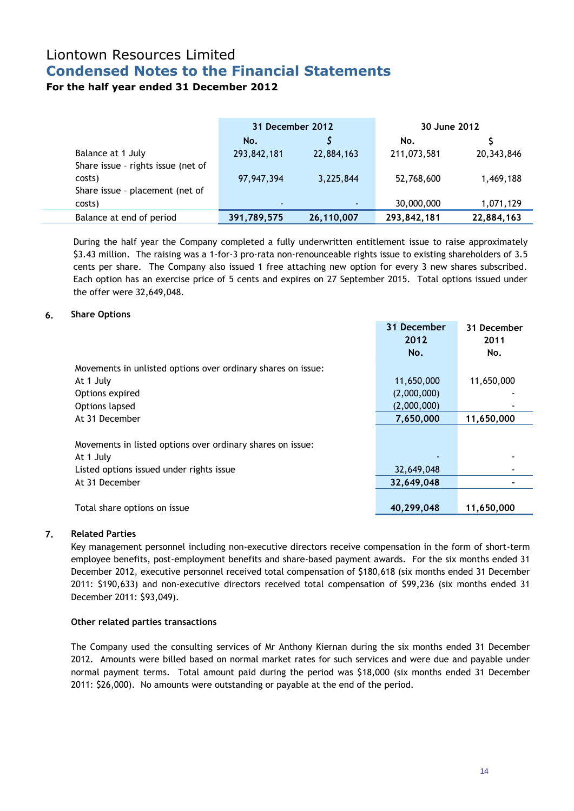## **For the half year ended 31 December 2012**

|                                    | 31 December 2012 |            | 30 June 2012 |            |
|------------------------------------|------------------|------------|--------------|------------|
|                                    | No.              |            | No.          |            |
| Balance at 1 July                  | 293,842,181      | 22,884,163 | 211,073,581  | 20,343,846 |
| Share issue - rights issue (net of |                  |            |              |            |
| costs)                             | 97,947,394       | 3,225,844  | 52,768,600   | 1,469,188  |
| Share issue - placement (net of    |                  |            |              |            |
| costs)                             | $\sim$           | ۰.         | 30,000,000   | 1,071,129  |
| Balance at end of period           | 391,789,575      | 26,110,007 | 293,842,181  | 22,884,163 |

During the half year the Company completed a fully underwritten entitlement issue to raise approximately \$3.43 million. The raising was a 1-for-3 pro-rata non-renounceable rights issue to existing shareholders of 3.5 cents per share. The Company also issued 1 free attaching new option for every 3 new shares subscribed. Each option has an exercise price of 5 cents and expires on 27 September 2015. Total options issued under the offer were 32,649,048.

### **6. Share Options**

|                                                              | 31 December | 31 December |
|--------------------------------------------------------------|-------------|-------------|
|                                                              | 2012        | 2011        |
|                                                              | No.         | No.         |
| Movements in unlisted options over ordinary shares on issue: |             |             |
| At 1 July                                                    | 11,650,000  | 11,650,000  |
| Options expired                                              | (2,000,000) |             |
| Options lapsed                                               | (2,000,000) |             |
| At 31 December                                               | 7,650,000   | 11,650,000  |
|                                                              |             |             |
| Movements in listed options over ordinary shares on issue:   |             |             |
| At 1 July                                                    |             |             |
| Listed options issued under rights issue                     | 32,649,048  |             |
| At 31 December                                               | 32,649,048  |             |
|                                                              |             |             |
| Total share options on issue                                 | 40,299,048  | 11,650,000  |

### **7. Related Parties**

Key management personnel including non-executive directors receive compensation in the form of short-term employee benefits, post-employment benefits and share-based payment awards. For the six months ended 31 December 2012, executive personnel received total compensation of \$180,618 (six months ended 31 December 2011: \$190,633) and non-executive directors received total compensation of \$99,236 (six months ended 31 December 2011: \$93,049).

### **Other related parties transactions**

The Company used the consulting services of Mr Anthony Kiernan during the six months ended 31 December 2012. Amounts were billed based on normal market rates for such services and were due and payable under normal payment terms. Total amount paid during the period was \$18,000 (six months ended 31 December 2011: \$26,000). No amounts were outstanding or payable at the end of the period.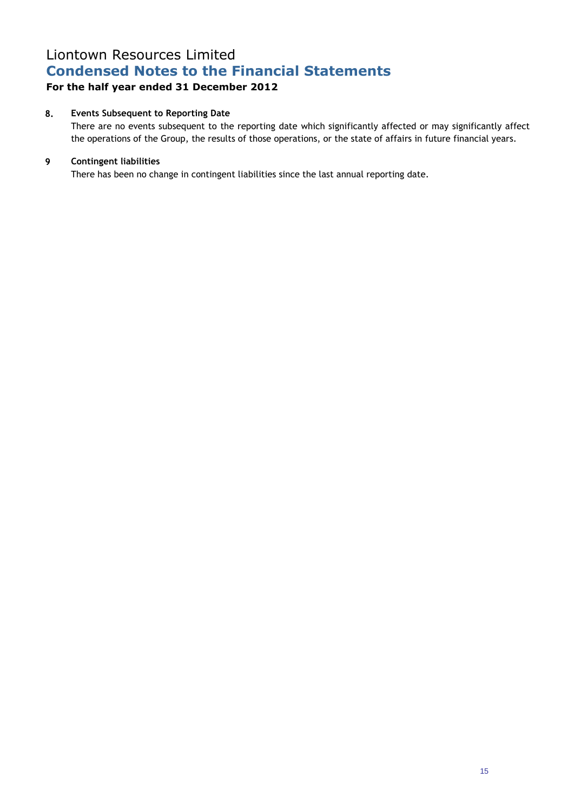## **For the half year ended 31 December 2012**

### **8. Events Subsequent to Reporting Date**

There are no events subsequent to the reporting date which significantly affected or may significantly affect the operations of the Group, the results of those operations, or the state of affairs in future financial years.

### **9 Contingent liabilities**

There has been no change in contingent liabilities since the last annual reporting date.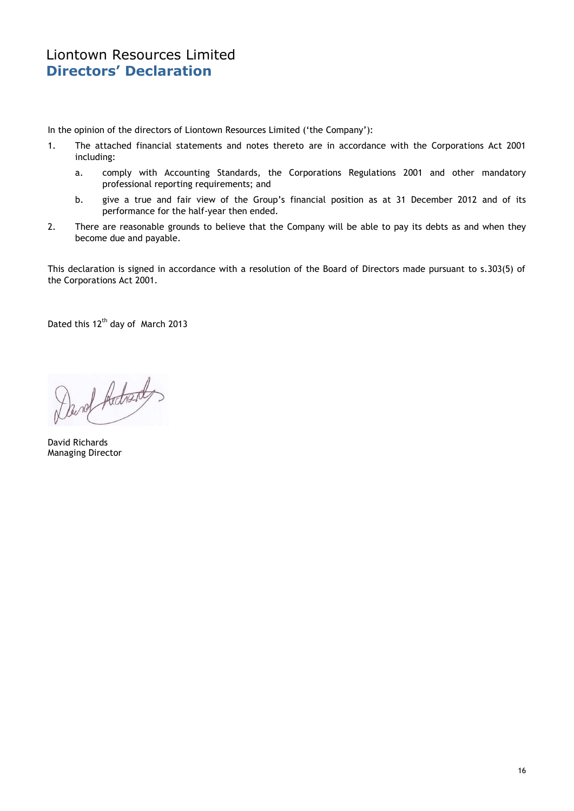In the opinion of the directors of Liontown Resources Limited ('the Company'):

- 1. The attached financial statements and notes thereto are in accordance with the Corporations Act 2001 including:
	- a. comply with Accounting Standards, the Corporations Regulations 2001 and other mandatory professional reporting requirements; and
	- b. give a true and fair view of the Group's financial position as at 31 December 2012 and of its performance for the half-year then ended.
- 2. There are reasonable grounds to believe that the Company will be able to pay its debts as and when they become due and payable.

This declaration is signed in accordance with a resolution of the Board of Directors made pursuant to s.303(5) of the Corporations Act 2001.

Dated this 12<sup>th</sup> day of March 2013

David Adrent,

David Richards Managing Director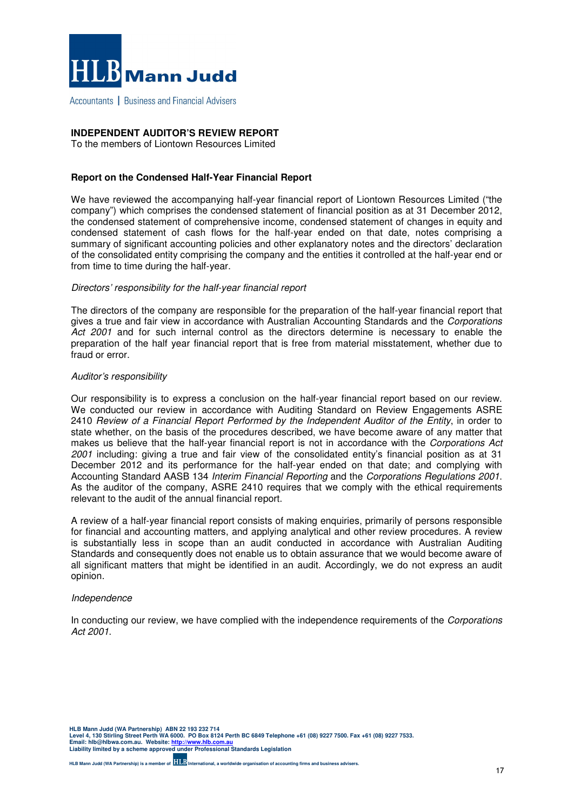

Accountants | Business and Financial Advisers

### **INDEPENDENT AUDITOR'S REVIEW REPORT**

To the members of Liontown Resources Limited

### **Report on the Condensed Half-Year Financial Report**

We have reviewed the accompanying half-year financial report of Liontown Resources Limited ("the company") which comprises the condensed statement of financial position as at 31 December 2012, the condensed statement of comprehensive income, condensed statement of changes in equity and condensed statement of cash flows for the half-year ended on that date, notes comprising a summary of significant accounting policies and other explanatory notes and the directors' declaration of the consolidated entity comprising the company and the entities it controlled at the half-year end or from time to time during the half-year.

#### Directors' responsibility for the half-year financial report

The directors of the company are responsible for the preparation of the half-year financial report that gives a true and fair view in accordance with Australian Accounting Standards and the Corporations Act 2001 and for such internal control as the directors determine is necessary to enable the preparation of the half year financial report that is free from material misstatement, whether due to fraud or error.

#### Auditor's responsibility

Our responsibility is to express a conclusion on the half-year financial report based on our review. We conducted our review in accordance with Auditing Standard on Review Engagements ASRE 2410 Review of a Financial Report Performed by the Independent Auditor of the Entity, in order to state whether, on the basis of the procedures described, we have become aware of any matter that makes us believe that the half-year financial report is not in accordance with the Corporations Act 2001 including: giving a true and fair view of the consolidated entity's financial position as at 31 December 2012 and its performance for the half-year ended on that date; and complying with Accounting Standard AASB 134 Interim Financial Reporting and the Corporations Regulations 2001. As the auditor of the company, ASRE 2410 requires that we comply with the ethical requirements relevant to the audit of the annual financial report.

A review of a half-year financial report consists of making enquiries, primarily of persons responsible for financial and accounting matters, and applying analytical and other review procedures. A review is substantially less in scope than an audit conducted in accordance with Australian Auditing Standards and consequently does not enable us to obtain assurance that we would become aware of all significant matters that might be identified in an audit. Accordingly, we do not express an audit opinion.

#### Independence

In conducting our review, we have complied with the independence requirements of the Corporations Act 2001.

**HLB Mann Judd (WA Partnership) ABN 22 193 232 714 Level 4, 130 Stirling Street Perth WA 6000. PO Box 8124 Perth BC 6849 Telephone +61 (08) 9227 7500. Fax +61 (08) 9227 7533. Email: hlb@hlbwa.com.au. Website: http://www.hlb.com.au Liability limited by a scheme approved under Professional Standards Legislation**